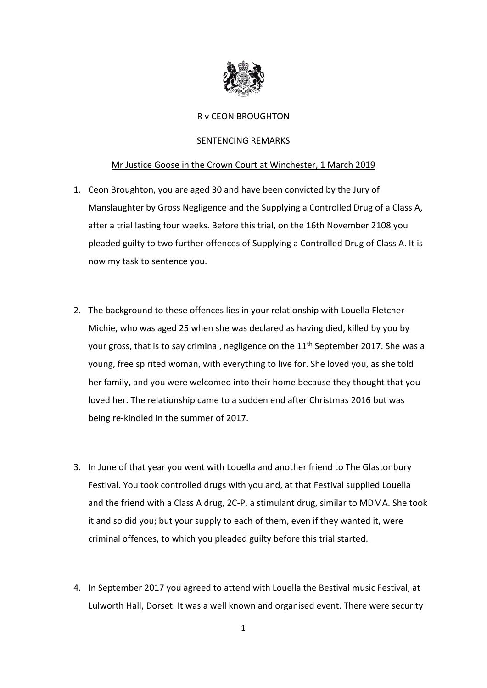

## R v CEON BROUGHTON

## SENTENCING REMARKS

## Mr Justice Goose in the Crown Court at Winchester, 1 March 2019

- 1. Ceon Broughton, you are aged 30 and have been convicted by the Jury of Manslaughter by Gross Negligence and the Supplying a Controlled Drug of a Class A, after a trial lasting four weeks. Before this trial, on the 16th November 2108 you pleaded guilty to two further offences of Supplying a Controlled Drug of Class A. It is now my task to sentence you.
- 2. The background to these offences lies in your relationship with Louella Fletcher-Michie, who was aged 25 when she was declared as having died, killed by you by your gross, that is to say criminal, negligence on the 11<sup>th</sup> September 2017. She was a young, free spirited woman, with everything to live for. She loved you, as she told her family, and you were welcomed into their home because they thought that you loved her. The relationship came to a sudden end after Christmas 2016 but was being re‐kindled in the summer of 2017.
- 3. In June of that year you went with Louella and another friend to The Glastonbury Festival. You took controlled drugs with you and, at that Festival supplied Louella and the friend with a Class A drug, 2C‐P, a stimulant drug, similar to MDMA. She took it and so did you; but your supply to each of them, even if they wanted it, were criminal offences, to which you pleaded guilty before this trial started.
- 4. In September 2017 you agreed to attend with Louella the Bestival music Festival, at Lulworth Hall, Dorset. It was a well known and organised event. There were security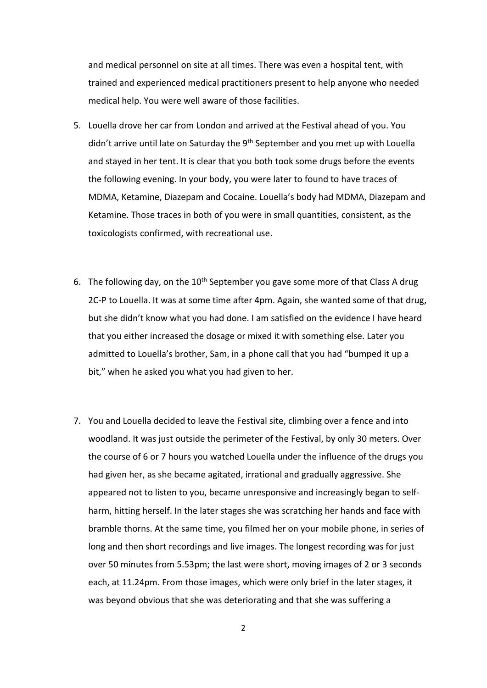and medical personnel on site at all times. There was even a hospital tent, with trained and experienced medical practitioners present to help anyone who needed medical help. You were well aware of those facilities.

- 5. Louella drove her car from London and arrived at the Festival ahead of you. You didn't arrive until late on Saturday the 9<sup>th</sup> September and you met up with Louella and stayed in her tent. It is clear that you both took some drugs before the events the following evening. In your body, you were later to found to have traces of MDMA, Ketamine, Diazepam and Cocaine. Louella's body had MDMA, Diazepam and Ketamine. Those traces in both of you were in small quantities, consistent, as the toxicologists confirmed, with recreational use.
- 6. The following day, on the  $10<sup>th</sup>$  September you gave some more of that Class A drug 2C‐P to Louella. It was at some time after 4pm. Again, she wanted some of that drug, but she didn't know what you had done. I am satisfied on the evidence I have heard that you either increased the dosage or mixed it with something else. Later you admitted to Louella's brother, Sam, in a phone call that you had "bumped it up a bit," when he asked you what you had given to her.
- 7. You and Louella decided to leave the Festival site, climbing over a fence and into woodland. It was just outside the perimeter of the Festival, by only 30 meters. Over the course of 6 or 7 hours you watched Louella under the influence of the drugs you had given her, as she became agitated, irrational and gradually aggressive. She appeared not to listen to you, became unresponsive and increasingly began to self‐ harm, hitting herself. In the later stages she was scratching her hands and face with bramble thorns. At the same time, you filmed her on your mobile phone, in series of long and then short recordings and live images. The longest recording was for just over 50 minutes from 5.53pm; the last were short, moving images of 2 or 3 seconds each, at 11.24pm. From those images, which were only brief in the later stages, it was beyond obvious that she was deteriorating and that she was suffering a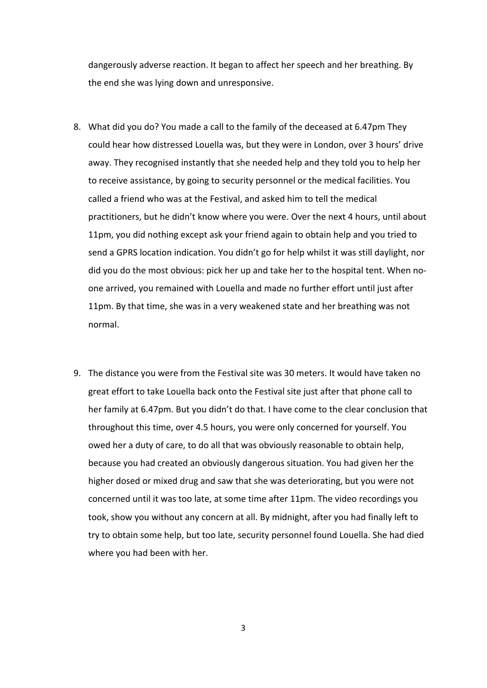dangerously adverse reaction. It began to affect her speech and her breathing. By the end she was lying down and unresponsive.

- 8. What did you do? You made a call to the family of the deceased at 6.47pm They could hear how distressed Louella was, but they were in London, over 3 hours' drive away. They recognised instantly that she needed help and they told you to help her to receive assistance, by going to security personnel or the medical facilities. You called a friend who was at the Festival, and asked him to tell the medical practitioners, but he didn't know where you were. Over the next 4 hours, until about 11pm, you did nothing except ask your friend again to obtain help and you tried to send a GPRS location indication. You didn't go for help whilst it was still daylight, nor did you do the most obvious: pick her up and take her to the hospital tent. When no‐ one arrived, you remained with Louella and made no further effort until just after 11pm. By that time, she was in a very weakened state and her breathing was not normal.
- 9. The distance you were from the Festival site was 30 meters. It would have taken no great effort to take Louella back onto the Festival site just after that phone call to her family at 6.47pm. But you didn't do that. I have come to the clear conclusion that throughout this time, over 4.5 hours, you were only concerned for yourself. You owed her a duty of care, to do all that was obviously reasonable to obtain help, because you had created an obviously dangerous situation. You had given her the higher dosed or mixed drug and saw that she was deteriorating, but you were not concerned until it was too late, at some time after 11pm. The video recordings you took, show you without any concern at all. By midnight, after you had finally left to try to obtain some help, but too late, security personnel found Louella. She had died where you had been with her.

3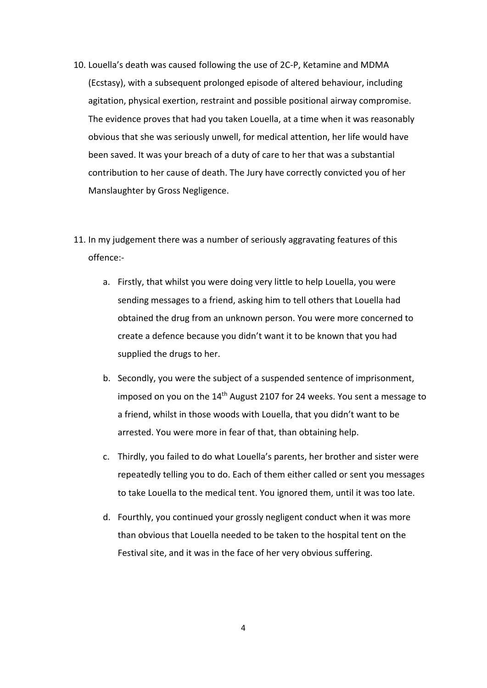- 10. Louella's death was caused following the use of 2C‐P, Ketamine and MDMA (Ecstasy), with a subsequent prolonged episode of altered behaviour, including agitation, physical exertion, restraint and possible positional airway compromise. The evidence proves that had you taken Louella, at a time when it was reasonably obvious that she was seriously unwell, for medical attention, her life would have been saved. It was your breach of a duty of care to her that was a substantial contribution to her cause of death. The Jury have correctly convicted you of her Manslaughter by Gross Negligence.
- 11. In my judgement there was a number of seriously aggravating features of this offence:‐
	- a. Firstly, that whilst you were doing very little to help Louella, you were sending messages to a friend, asking him to tell others that Louella had obtained the drug from an unknown person. You were more concerned to create a defence because you didn't want it to be known that you had supplied the drugs to her.
	- b. Secondly, you were the subject of a suspended sentence of imprisonment, imposed on you on the 14<sup>th</sup> August 2107 for 24 weeks. You sent a message to a friend, whilst in those woods with Louella, that you didn't want to be arrested. You were more in fear of that, than obtaining help.
	- c. Thirdly, you failed to do what Louella's parents, her brother and sister were repeatedly telling you to do. Each of them either called or sent you messages to take Louella to the medical tent. You ignored them, until it was too late.
	- d. Fourthly, you continued your grossly negligent conduct when it was more than obvious that Louella needed to be taken to the hospital tent on the Festival site, and it was in the face of her very obvious suffering.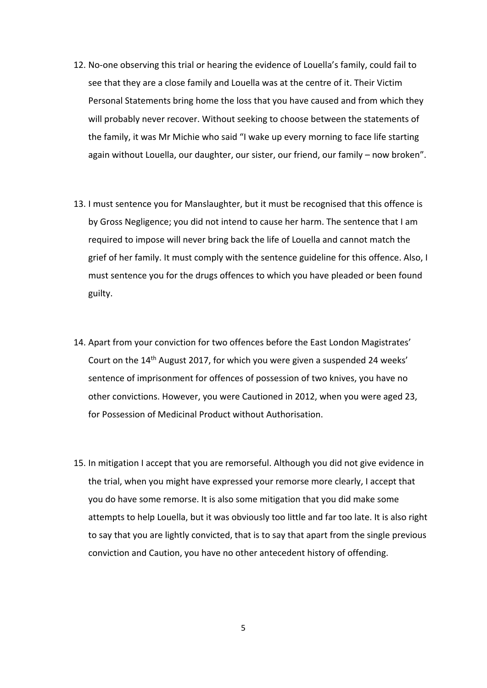- 12. No-one observing this trial or hearing the evidence of Louella's family, could fail to see that they are a close family and Louella was at the centre of it. Their Victim Personal Statements bring home the loss that you have caused and from which they will probably never recover. Without seeking to choose between the statements of the family, it was Mr Michie who said "I wake up every morning to face life starting again without Louella, our daughter, our sister, our friend, our family – now broken".
- 13. I must sentence you for Manslaughter, but it must be recognised that this offence is by Gross Negligence; you did not intend to cause her harm. The sentence that I am required to impose will never bring back the life of Louella and cannot match the grief of her family. It must comply with the sentence guideline for this offence. Also, I must sentence you for the drugs offences to which you have pleaded or been found guilty.
- 14. Apart from your conviction for two offences before the East London Magistrates' Court on the 14th August 2017, for which you were given a suspended 24 weeks' sentence of imprisonment for offences of possession of two knives, you have no other convictions. However, you were Cautioned in 2012, when you were aged 23, for Possession of Medicinal Product without Authorisation.
- 15. In mitigation I accept that you are remorseful. Although you did not give evidence in the trial, when you might have expressed your remorse more clearly, I accept that you do have some remorse. It is also some mitigation that you did make some attempts to help Louella, but it was obviously too little and far too late. It is also right to say that you are lightly convicted, that is to say that apart from the single previous conviction and Caution, you have no other antecedent history of offending.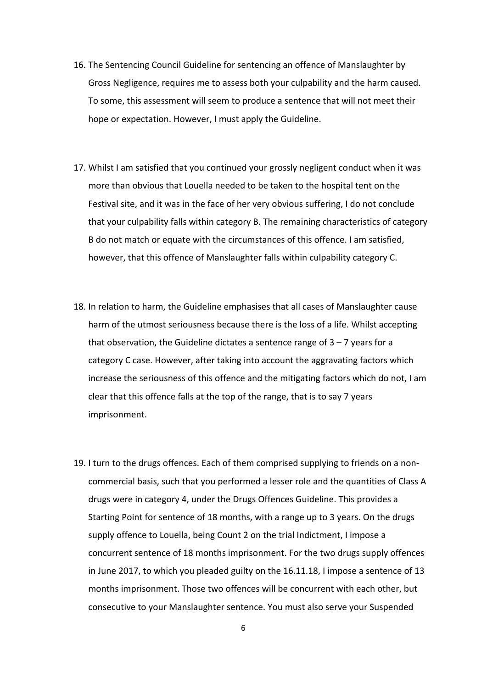- 16. The Sentencing Council Guideline for sentencing an offence of Manslaughter by Gross Negligence, requires me to assess both your culpability and the harm caused. To some, this assessment will seem to produce a sentence that will not meet their hope or expectation. However, I must apply the Guideline.
- 17. Whilst I am satisfied that you continued your grossly negligent conduct when it was more than obvious that Louella needed to be taken to the hospital tent on the Festival site, and it was in the face of her very obvious suffering, I do not conclude that your culpability falls within category B. The remaining characteristics of category B do not match or equate with the circumstances of this offence. I am satisfied, however, that this offence of Manslaughter falls within culpability category C.
- 18. In relation to harm, the Guideline emphasises that all cases of Manslaughter cause harm of the utmost seriousness because there is the loss of a life. Whilst accepting that observation, the Guideline dictates a sentence range of  $3 - 7$  years for a category C case. However, after taking into account the aggravating factors which increase the seriousness of this offence and the mitigating factors which do not, I am clear that this offence falls at the top of the range, that is to say 7 years imprisonment.
- 19. I turn to the drugs offences. Each of them comprised supplying to friends on a non‐ commercial basis, such that you performed a lesser role and the quantities of Class A drugs were in category 4, under the Drugs Offences Guideline. This provides a Starting Point for sentence of 18 months, with a range up to 3 years. On the drugs supply offence to Louella, being Count 2 on the trial Indictment, I impose a concurrent sentence of 18 months imprisonment. For the two drugs supply offences in June 2017, to which you pleaded guilty on the 16.11.18, I impose a sentence of 13 months imprisonment. Those two offences will be concurrent with each other, but consecutive to your Manslaughter sentence. You must also serve your Suspended